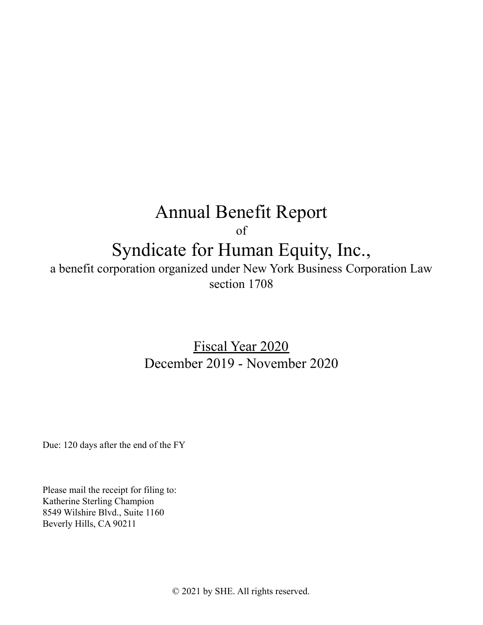# Annual Benefit Report

of

## Syndicate for Human Equity, Inc.,

a benefit corporation organized under New York Business Corporation Law section 1708

> Fiscal Year 2020 December 2019 - November 2020

Due: 120 days after the end of the FY

Please mail the receipt for filing to: Katherine Sterling Champion 8549 Wilshire Blvd., Suite 1160 Beverly Hills, CA 90211

© 2021 by SHE. All rights reserved.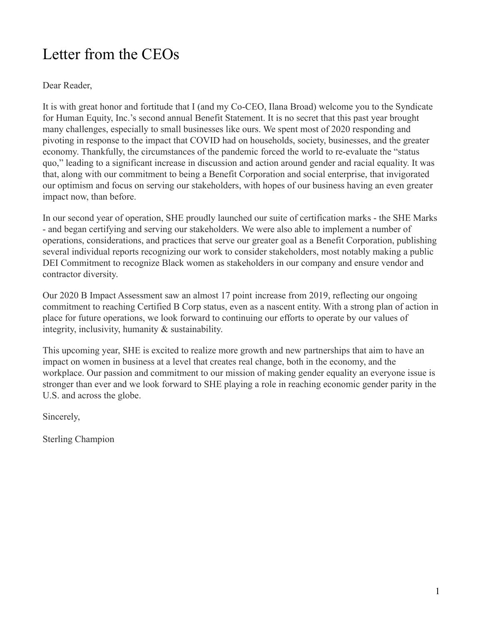## <span id="page-1-0"></span>Letter from the CEOs

Dear Reader,

It is with great honor and fortitude that I (and my Co-CEO, Ilana Broad) welcome you to the Syndicate for Human Equity, Inc.'s second annual Benefit Statement. It is no secret that this past year brought many challenges, especially to small businesses like ours. We spent most of 2020 responding and pivoting in response to the impact that COVID had on households, society, businesses, and the greater economy. Thankfully, the circumstances of the pandemic forced the world to re-evaluate the "status quo," leading to a significant increase in discussion and action around gender and racial equality. It was that, along with our commitment to being a Benefit Corporation and social enterprise, that invigorated our optimism and focus on serving our stakeholders, with hopes of our business having an even greater impact now, than before.

In our second year of operation, SHE proudly launched our suite of certification marks - the SHE Marks - and began certifying and serving our stakeholders. We were also able to implement a number of operations, considerations, and practices that serve our greater goal as a Benefit Corporation, publishing several individual reports recognizing our work to consider stakeholders, most notably making a public DEI Commitment to recognize Black women as stakeholders in our company and ensure vendor and contractor diversity.

Our 2020 B Impact Assessment saw an almost 17 point increase from 2019, reflecting our ongoing commitment to reaching Certified B Corp status, even as a nascent entity. With a strong plan of action in place for future operations, we look forward to continuing our efforts to operate by our values of integrity, inclusivity, humanity & sustainability.

This upcoming year, SHE is excited to realize more growth and new partnerships that aim to have an impact on women in business at a level that creates real change, both in the economy, and the workplace. Our passion and commitment to our mission of making gender equality an everyone issue is stronger than ever and we look forward to SHE playing a role in reaching economic gender parity in the U.S. and across the globe.

Sincerely,

Sterling Champion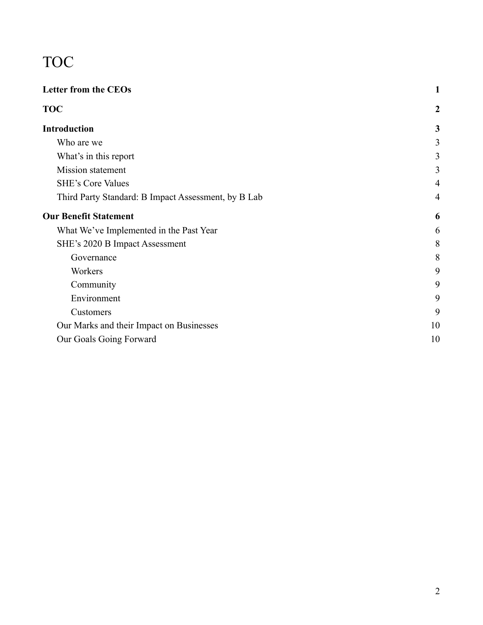# <span id="page-2-0"></span>TOC

| 1                |
|------------------|
| $\boldsymbol{2}$ |
| 3                |
| 3                |
| 3                |
| 3                |
| $\overline{4}$   |
| $\overline{4}$   |
| 6                |
| 6                |
| 8                |
| 8                |
| 9                |
| 9                |
| 9                |
| 9                |
| 10               |
| 10               |
|                  |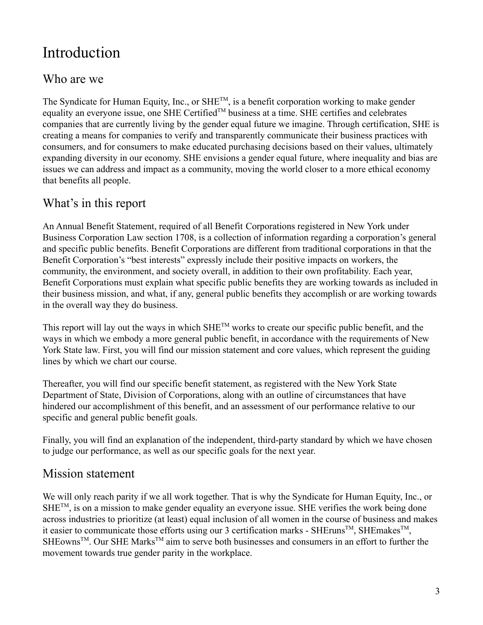## <span id="page-3-0"></span>Introduction

### <span id="page-3-1"></span>Who are we

The Syndicate for Human Equity, Inc., or SHE<sup>TM</sup>, is a benefit corporation working to make gender equality an everyone issue, one SHE Certified<sup>TM</sup> business at a time. SHE certifies and celebrates companies that are currently living by the gender equal future we imagine. Through certification, SHE is creating a means for companies to verify and transparently communicate their business practices with consumers, and for consumers to make educated purchasing decisions based on their values, ultimately expanding diversity in our economy. SHE envisions a gender equal future, where inequality and bias are issues we can address and impact as a community, moving the world closer to a more ethical economy that benefits all people.

## <span id="page-3-2"></span>What's in this report

An Annual Benefit Statement, required of all Benefit Corporations registered in New York under Business Corporation Law section 1708, is a collection of information regarding a corporation's general and specific public benefits. Benefit Corporations are different from traditional corporations in that the Benefit Corporation's "best interests" expressly include their positive impacts on workers, the community, the environment, and society overall, in addition to their own profitability. Each year, Benefit Corporations must explain what specific public benefits they are working towards as included in their business mission, and what, if any, general public benefits they accomplish or are working towards in the overall way they do business.

This report will lay out the ways in which  $SHE^{TM}$  works to create our specific public benefit, and the ways in which we embody a more general public benefit, in accordance with the requirements of New York State law. First, you will find our mission statement and core values, which represent the guiding lines by which we chart our course.

Thereafter, you will find our specific benefit statement, as registered with the New York State Department of State, Division of Corporations, along with an outline of circumstances that have hindered our accomplishment of this benefit, and an assessment of our performance relative to our specific and general public benefit goals.

Finally, you will find an explanation of the independent, third-party standard by which we have chosen to judge our performance, as well as our specific goals for the next year.

### <span id="page-3-3"></span>Mission statement

We will only reach parity if we all work together. That is why the Syndicate for Human Equity, Inc., or  $SHE^{TM}$ , is on a mission to make gender equality an everyone issue. SHE verifies the work being done across industries to prioritize (at least) equal inclusion of all women in the course of business and makes it easier to communicate those efforts using our 3 certification marks - SHEruns<sup>TM</sup>, SHEmakes<sup>TM</sup>, SHEowns<sup>TM</sup>. Our SHE Marks<sup>TM</sup> aim to serve both businesses and consumers in an effort to further the movement towards true gender parity in the workplace.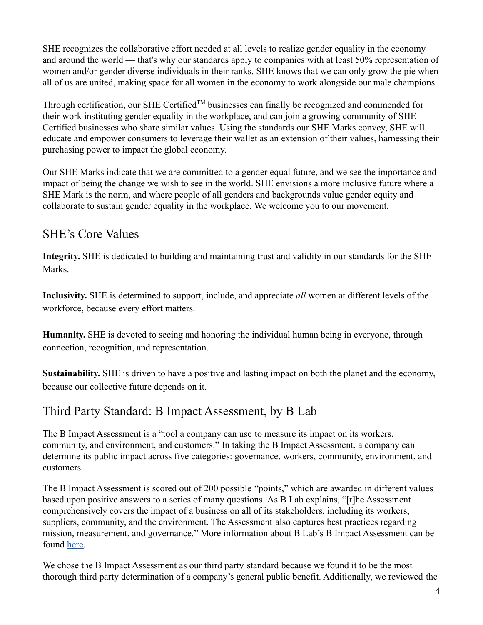SHE recognizes the collaborative effort needed at all levels to realize gender equality in the economy and around the world — that's why our standards apply to companies with at least 50% representation of women and/or gender diverse individuals in their ranks. SHE knows that we can only grow the pie when all of us are united, making space for all women in the economy to work alongside our male champions.

Through certification, our SHE Certified<sup>TM</sup> businesses can finally be recognized and commended for their work instituting gender equality in the workplace, and can join a growing community of SHE Certified businesses who share similar values. Using the standards our SHE Marks convey, SHE will educate and empower consumers to leverage their wallet as an extension of their values, harnessing their purchasing power to impact the global economy.

Our SHE Marks indicate that we are committed to a gender equal future, and we see the importance and impact of being the change we wish to see in the world. SHE envisions a more inclusive future where a SHE Mark is the norm, and where people of all genders and backgrounds value gender equity and collaborate to sustain gender equality in the workplace. We welcome you to our movement.

## <span id="page-4-0"></span>SHE's Core Values

**Integrity.** SHE is dedicated to building and maintaining trust and validity in our standards for the SHE **Marks** 

**Inclusivity.** SHE is determined to support, include, and appreciate *all* women at different levels of the workforce, because every effort matters.

**Humanity.** SHE is devoted to seeing and honoring the individual human being in everyone, through connection, recognition, and representation.

**Sustainability.** SHE is driven to have a positive and lasting impact on both the planet and the economy, because our collective future depends on it.

### <span id="page-4-1"></span>Third Party Standard: B Impact Assessment, by B Lab

The B Impact Assessment is a "tool a company can use to measure its impact on its workers, community, and environment, and customers." In taking the B Impact Assessment, a company can determine its public impact across five categories: governance, workers, community, environment, and customers.

The B Impact Assessment is scored out of 200 possible "points," which are awarded in different values based upon positive answers to a series of many questions. As B Lab explains, "[t]he Assessment comprehensively covers the impact of a business on all of its stakeholders, including its workers, suppliers, community, and the environment. The Assessment also captures best practices regarding mission, measurement, and governance." More information about B Lab's B Impact Assessment can be found [here.](https://bcorporation.net/b-economy)

We chose the B Impact Assessment as our third party standard because we found it to be the most thorough third party determination of a company's general public benefit. Additionally, we reviewed the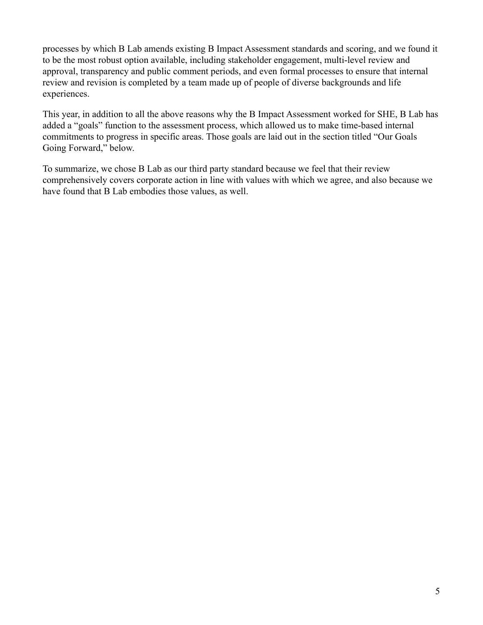processes by which B Lab amends existing B Impact Assessment standards and scoring, and we found it to be the most robust option available, including stakeholder engagement, multi-level review and approval, transparency and public comment periods, and even formal processes to ensure that internal review and revision is completed by a team made up of people of diverse backgrounds and life experiences.

This year, in addition to all the above reasons why the B Impact Assessment worked for SHE, B Lab has added a "goals" function to the assessment process, which allowed us to make time-based internal commitments to progress in specific areas. Those goals are laid out in the section titled "Our Goals Going Forward," below.

To summarize, we chose B Lab as our third party standard because we feel that their review comprehensively covers corporate action in line with values with which we agree, and also because we have found that B Lab embodies those values, as well.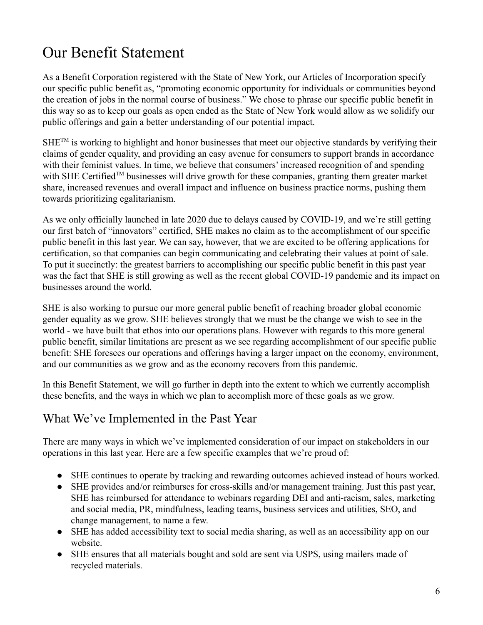## <span id="page-6-0"></span>Our Benefit Statement

As a Benefit Corporation registered with the State of New York, our Articles of Incorporation specify our specific public benefit as, "promoting economic opportunity for individuals or communities beyond the creation of jobs in the normal course of business." We chose to phrase our specific public benefit in this way so as to keep our goals as open ended as the State of New York would allow as we solidify our public offerings and gain a better understanding of our potential impact.

 $SHE^{TM}$  is working to highlight and honor businesses that meet our objective standards by verifying their claims of gender equality, and providing an easy avenue for consumers to support brands in accordance with their feminist values. In time, we believe that consumers' increased recognition of and spending with SHE Certified<sup>TM</sup> businesses will drive growth for these companies, granting them greater market share, increased revenues and overall impact and influence on business practice norms, pushing them towards prioritizing egalitarianism.

As we only officially launched in late 2020 due to delays caused by COVID-19, and we're still getting our first batch of "innovators" certified, SHE makes no claim as to the accomplishment of our specific public benefit in this last year. We can say, however, that we are excited to be offering applications for certification, so that companies can begin communicating and celebrating their values at point of sale. To put it succinctly: the greatest barriers to accomplishing our specific public benefit in this past year was the fact that SHE is still growing as well as the recent global COVID-19 pandemic and its impact on businesses around the world.

SHE is also working to pursue our more general public benefit of reaching broader global economic gender equality as we grow. SHE believes strongly that we must be the change we wish to see in the world - we have built that ethos into our operations plans. However with regards to this more general public benefit, similar limitations are present as we see regarding accomplishment of our specific public benefit: SHE foresees our operations and offerings having a larger impact on the economy, environment, and our communities as we grow and as the economy recovers from this pandemic.

In this Benefit Statement, we will go further in depth into the extent to which we currently accomplish these benefits, and the ways in which we plan to accomplish more of these goals as we grow.

### <span id="page-6-1"></span>What We've Implemented in the Past Year

There are many ways in which we've implemented consideration of our impact on stakeholders in our operations in this last year. Here are a few specific examples that we're proud of:

- SHE continues to operate by tracking and rewarding outcomes achieved instead of hours worked.
- *●* SHE provides and/or reimburses for cross-skills and/or management training. Just this past year, SHE has reimbursed for attendance to webinars regarding DEI and anti-racism, sales, marketing and social media, PR, mindfulness, leading teams, business services and utilities, SEO, and change management, to name a few.
- SHE has added accessibility text to social media sharing, as well as an accessibility app on our website.
- SHE ensures that all materials bought and sold are sent via USPS, using mailers made of recycled materials.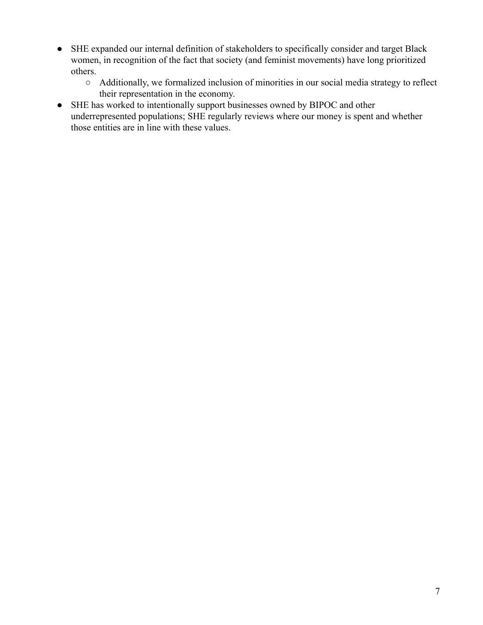- SHE expanded our internal definition of stakeholders to specifically consider and target Black women, in recognition of the fact that society (and feminist movements) have long prioritized others.
	- Additionally, we formalized inclusion of minorities in our social media strategy to reflect their representation in the economy.
- SHE has worked to intentionally support businesses owned by BIPOC and other underrepresented populations; SHE regularly reviews where our money is spent and whether those entities are in line with these values.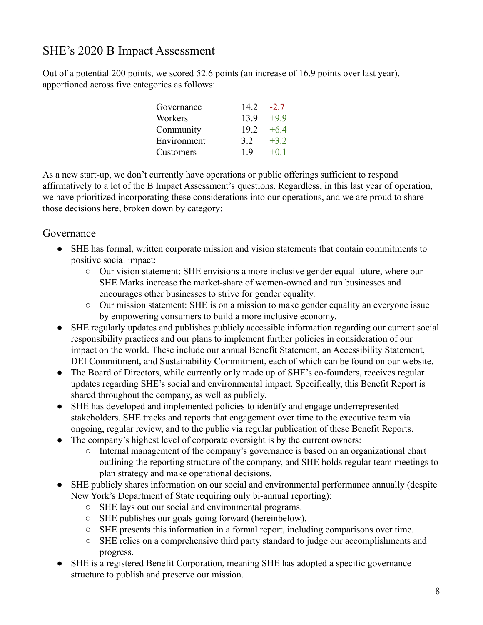## <span id="page-8-0"></span>SHE's 2020 B Impact Assessment

Out of a potential 200 points, we scored 52.6 points (an increase of 16.9 points over last year), apportioned across five categories as follows:

| Governance  | 14.2 | $-27$  |
|-------------|------|--------|
| Workers     | 13.9 | $+9.9$ |
| Community   | 19.2 | $+64$  |
| Environment | 32   | $+3.2$ |
| Customers   | 19   | $+0.1$ |

As a new start-up, we don't currently have operations or public offerings sufficient to respond affirmatively to a lot of the B Impact Assessment's questions. Regardless, in this last year of operation, we have prioritized incorporating these considerations into our operations, and we are proud to share those decisions here, broken down by category:

#### <span id="page-8-1"></span>Governance

- SHE has formal, written corporate mission and vision statements that contain commitments to positive social impact:
	- Our vision statement: SHE envisions a more inclusive gender equal future, where our SHE Marks increase the market-share of women-owned and run businesses and encourages other businesses to strive for gender equality.
	- Our mission statement: SHE is on a mission to make gender equality an everyone issue by empowering consumers to build a more inclusive economy.
- SHE regularly updates and publishes publicly accessible information regarding our current social responsibility practices and our plans to implement further policies in consideration of our impact on the world. These include our annual Benefit Statement, an Accessibility Statement, DEI Commitment, and Sustainability Commitment, each of which can be found on our website.
- The Board of Directors, while currently only made up of SHE's co-founders, receives regular updates regarding SHE's social and environmental impact. Specifically, this Benefit Report is shared throughout the company, as well as publicly.
- SHE has developed and implemented policies to identify and engage underrepresented stakeholders. SHE tracks and reports that engagement over time to the executive team via ongoing, regular review, and to the public via regular publication of these Benefit Reports.
- The company's highest level of corporate oversight is by the current owners:
	- Internal management of the company's governance is based on an organizational chart outlining the reporting structure of the company, and SHE holds regular team meetings to plan strategy and make operational decisions.
- SHE publicly shares information on our social and environmental performance annually (despite New York's Department of State requiring only bi-annual reporting):
	- SHE lays out our social and environmental programs.
	- SHE publishes our goals going forward (hereinbelow).
	- SHE presents this information in a formal report, including comparisons over time.
	- SHE relies on a comprehensive third party standard to judge our accomplishments and progress.
- SHE is a registered Benefit Corporation, meaning SHE has adopted a specific governance structure to publish and preserve our mission.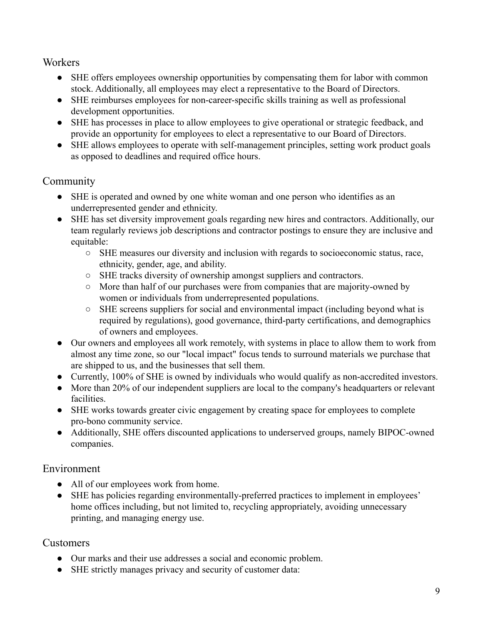#### <span id="page-9-0"></span>**Workers**

- SHE offers employees ownership opportunities by compensating them for labor with common stock. Additionally, all employees may elect a representative to the Board of Directors.
- SHE reimburses employees for non-career-specific skills training as well as professional development opportunities.
- SHE has processes in place to allow employees to give operational or strategic feedback, and provide an opportunity for employees to elect a representative to our Board of Directors.
- SHE allows employees to operate with self-management principles, setting work product goals as opposed to deadlines and required office hours.

### <span id="page-9-1"></span>Community

- SHE is operated and owned by one white woman and one person who identifies as an underrepresented gender and ethnicity.
- SHE has set diversity improvement goals regarding new hires and contractors. Additionally, our team regularly reviews job descriptions and contractor postings to ensure they are inclusive and equitable:
	- SHE measures our diversity and inclusion with regards to socioeconomic status, race, ethnicity, gender, age, and ability.
	- SHE tracks diversity of ownership amongst suppliers and contractors.
	- More than half of our purchases were from companies that are majority-owned by women or individuals from underrepresented populations.
	- SHE screens suppliers for social and environmental impact (including beyond what is required by regulations), good governance, third-party certifications, and demographics of owners and employees.
- Our owners and employees all work remotely, with systems in place to allow them to work from almost any time zone, so our "local impact" focus tends to surround materials we purchase that are shipped to us, and the businesses that sell them.
- Currently, 100% of SHE is owned by individuals who would qualify as non-accredited investors.
- More than 20% of our independent suppliers are local to the company's headquarters or relevant facilities.
- SHE works towards greater civic engagement by creating space for employees to complete pro-bono community service.
- Additionally, SHE offers discounted applications to underserved groups, namely BIPOC-owned companies.

### <span id="page-9-2"></span>Environment

- All of our employees work from home.
- SHE has policies regarding environmentally-preferred practices to implement in employees' home offices including, but not limited to, recycling appropriately, avoiding unnecessary printing, and managing energy use.

### <span id="page-9-3"></span>Customers

- Our marks and their use addresses a social and economic problem.
- SHE strictly manages privacy and security of customer data: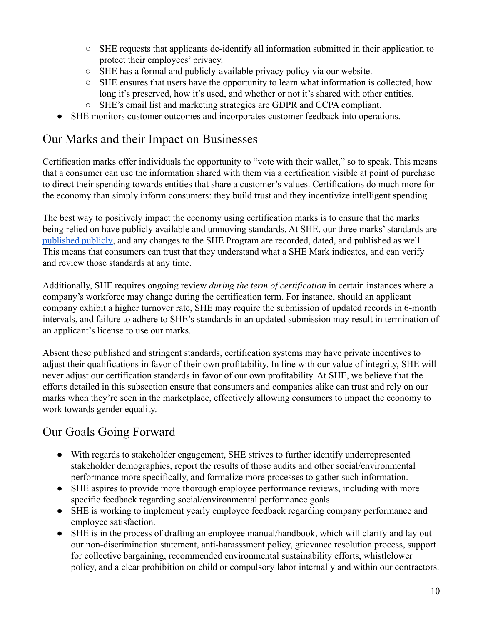- SHE requests that applicants de-identify all information submitted in their application to protect their employees' privacy.
- SHE has a formal and publicly-available privacy policy via our website.
- SHE ensures that users have the opportunity to learn what information is collected, how long it's preserved, how it's used, and whether or not it's shared with other entities.
- SHE's email list and marketing strategies are GDPR and CCPA compliant.
- SHE monitors customer outcomes and incorporates customer feedback into operations.

### <span id="page-10-0"></span>Our Marks and their Impact on Businesses

Certification marks offer individuals the opportunity to "vote with their wallet," so to speak. This means that a consumer can use the information shared with them via a certification visible at point of purchase to direct their spending towards entities that share a customer's values. Certifications do much more for the economy than simply inform consumers: they build trust and they incentivize intelligent spending.

The best way to positively impact the economy using certification marks is to ensure that the marks being relied on have publicly available and unmoving standards. At SHE, our three marks' standards are [published publicly,](http://www.theshemark.com/she-program) and any changes to the SHE Program are recorded, dated, and published as well. This means that consumers can trust that they understand what a SHE Mark indicates, and can verify and review those standards at any time.

Additionally, SHE requires ongoing review *during the term of certification* in certain instances where a company's workforce may change during the certification term. For instance, should an applicant company exhibit a higher turnover rate, SHE may require the submission of updated records in 6-month intervals, and failure to adhere to SHE's standards in an updated submission may result in termination of an applicant's license to use our marks.

Absent these published and stringent standards, certification systems may have private incentives to adjust their qualifications in favor of their own profitability. In line with our value of integrity, SHE will never adjust our certification standards in favor of our own profitability. At SHE, we believe that the efforts detailed in this subsection ensure that consumers and companies alike can trust and rely on our marks when they're seen in the marketplace, effectively allowing consumers to impact the economy to work towards gender equality.

## <span id="page-10-1"></span>Our Goals Going Forward

- With regards to stakeholder engagement, SHE strives to further identify underrepresented stakeholder demographics, report the results of those audits and other social/environmental performance more specifically, and formalize more processes to gather such information.
- SHE aspires to provide more thorough employee performance reviews, including with more specific feedback regarding social/environmental performance goals.
- SHE is working to implement yearly employee feedback regarding company performance and employee satisfaction.
- SHE is in the process of drafting an employee manual/handbook, which will clarify and lay out our non-discrimination statement, anti-harasssment policy, grievance resolution process, support for collective bargaining, recommended environmental sustainability efforts, whistlelower policy, and a clear prohibition on child or compulsory labor internally and within our contractors.